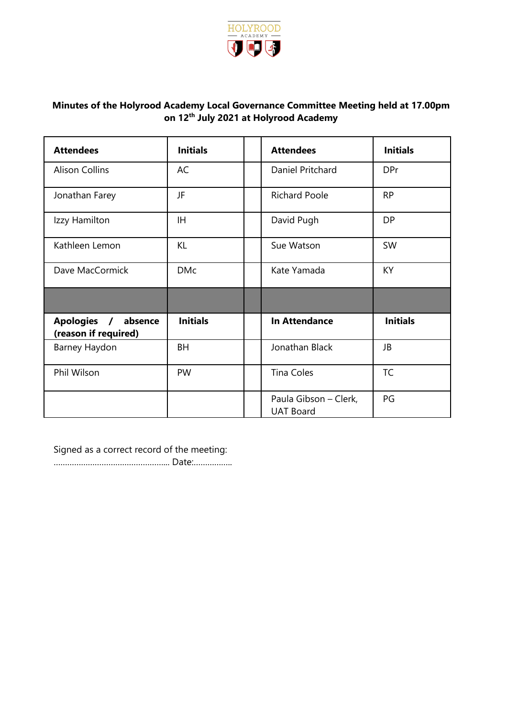

# **Minutes of the Holyrood Academy Local Governance Committee Meeting held at 17.00pm on 12th July 2021 at Holyrood Academy**

| <b>Attendees</b>                                                | <b>Initials</b> | <b>Attendees</b>                          | <b>Initials</b> |
|-----------------------------------------------------------------|-----------------|-------------------------------------------|-----------------|
| <b>Alison Collins</b>                                           | AC              | Daniel Pritchard                          | <b>DPr</b>      |
| Jonathan Farey                                                  | JF              | <b>Richard Poole</b>                      | <b>RP</b>       |
| Izzy Hamilton                                                   | IH.             | David Pugh                                | <b>DP</b>       |
| Kathleen Lemon                                                  | KL              | Sue Watson                                | SW              |
| Dave MacCormick                                                 | <b>DMc</b>      | Kate Yamada                               | KY              |
|                                                                 |                 |                                           |                 |
| <b>Apologies</b><br>absence<br>$\prime$<br>(reason if required) | <b>Initials</b> | <b>In Attendance</b>                      | <b>Initials</b> |
| Barney Haydon                                                   | BH              | Jonathan Black                            | JB              |
| Phil Wilson                                                     | PW              | <b>Tina Coles</b>                         | <b>TC</b>       |
|                                                                 |                 | Paula Gibson - Clerk,<br><b>UAT Board</b> | PG              |

Signed as a correct record of the meeting:

…………………………………………... Date:……………..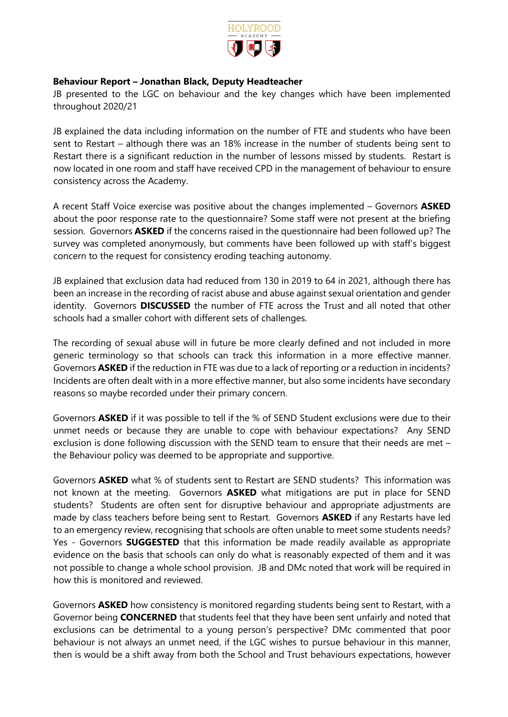

## **Behaviour Report – Jonathan Black, Deputy Headteacher**

JB presented to the LGC on behaviour and the key changes which have been implemented throughout 2020/21

JB explained the data including information on the number of FTE and students who have been sent to Restart – although there was an 18% increase in the number of students being sent to Restart there is a significant reduction in the number of lessons missed by students. Restart is now located in one room and staff have received CPD in the management of behaviour to ensure consistency across the Academy.

A recent Staff Voice exercise was positive about the changes implemented – Governors **ASKED** about the poor response rate to the questionnaire? Some staff were not present at the briefing session. Governors **ASKED** if the concerns raised in the questionnaire had been followed up? The survey was completed anonymously, but comments have been followed up with staff's biggest concern to the request for consistency eroding teaching autonomy.

JB explained that exclusion data had reduced from 130 in 2019 to 64 in 2021, although there has been an increase in the recording of racist abuse and abuse against sexual orientation and gender identity. Governors **DISCUSSED** the number of FTE across the Trust and all noted that other schools had a smaller cohort with different sets of challenges.

The recording of sexual abuse will in future be more clearly defined and not included in more generic terminology so that schools can track this information in a more effective manner. Governors **ASKED** if the reduction in FTE was due to a lack of reporting or a reduction in incidents? Incidents are often dealt with in a more effective manner, but also some incidents have secondary reasons so maybe recorded under their primary concern.

Governors **ASKED** if it was possible to tell if the % of SEND Student exclusions were due to their unmet needs or because they are unable to cope with behaviour expectations? Any SEND exclusion is done following discussion with the SEND team to ensure that their needs are met – the Behaviour policy was deemed to be appropriate and supportive.

Governors **ASKED** what % of students sent to Restart are SEND students? This information was not known at the meeting. Governors **ASKED** what mitigations are put in place for SEND students? Students are often sent for disruptive behaviour and appropriate adjustments are made by class teachers before being sent to Restart. Governors **ASKED** if any Restarts have led to an emergency review, recognising that schools are often unable to meet some students needs? Yes - Governors **SUGGESTED** that this information be made readily available as appropriate evidence on the basis that schools can only do what is reasonably expected of them and it was not possible to change a whole school provision. JB and DMc noted that work will be required in how this is monitored and reviewed.

Governors **ASKED** how consistency is monitored regarding students being sent to Restart, with a Governor being **CONCERNED** that students feel that they have been sent unfairly and noted that exclusions can be detrimental to a young person's perspective? DMc commented that poor behaviour is not always an unmet need, if the LGC wishes to pursue behaviour in this manner, then is would be a shift away from both the School and Trust behaviours expectations, however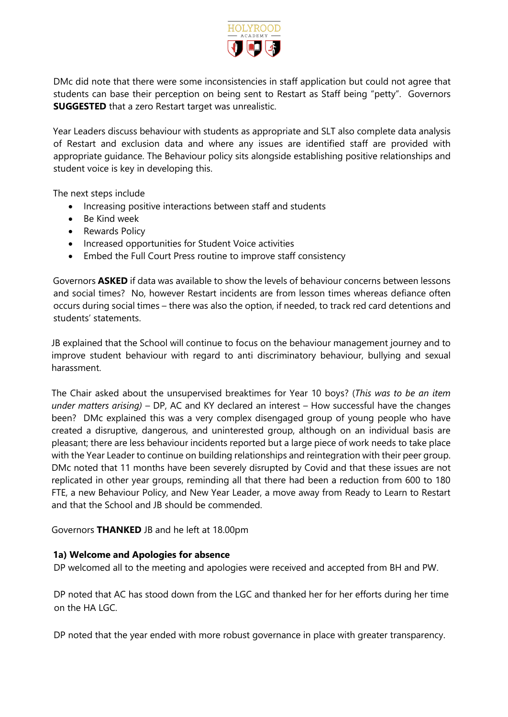

DMc did note that there were some inconsistencies in staff application but could not agree that students can base their perception on being sent to Restart as Staff being "petty". Governors **SUGGESTED** that a zero Restart target was unrealistic.

Year Leaders discuss behaviour with students as appropriate and SLT also complete data analysis of Restart and exclusion data and where any issues are identified staff are provided with appropriate guidance. The Behaviour policy sits alongside establishing positive relationships and student voice is key in developing this.

The next steps include

- Increasing positive interactions between staff and students
- Be Kind week
- Rewards Policy
- Increased opportunities for Student Voice activities
- Embed the Full Court Press routine to improve staff consistency

Governors **ASKED** if data was available to show the levels of behaviour concerns between lessons and social times? No, however Restart incidents are from lesson times whereas defiance often occurs during social times – there was also the option, if needed, to track red card detentions and students' statements.

JB explained that the School will continue to focus on the behaviour management journey and to improve student behaviour with regard to anti discriminatory behaviour, bullying and sexual harassment.

The Chair asked about the unsupervised breaktimes for Year 10 boys? (*This was to be an item under matters arising)* – DP, AC and KY declared an interest – How successful have the changes been? DMc explained this was a very complex disengaged group of young people who have created a disruptive, dangerous, and uninterested group, although on an individual basis are pleasant; there are less behaviour incidents reported but a large piece of work needs to take place with the Year Leader to continue on building relationships and reintegration with their peer group. DMc noted that 11 months have been severely disrupted by Covid and that these issues are not replicated in other year groups, reminding all that there had been a reduction from 600 to 180 FTE, a new Behaviour Policy, and New Year Leader, a move away from Ready to Learn to Restart and that the School and JB should be commended.

Governors **THANKED** JB and he left at 18.00pm

### **1a) Welcome and Apologies for absence**

DP welcomed all to the meeting and apologies were received and accepted from BH and PW.

DP noted that AC has stood down from the LGC and thanked her for her efforts during her time on the HA  $LG$ .

DP noted that the year ended with more robust governance in place with greater transparency.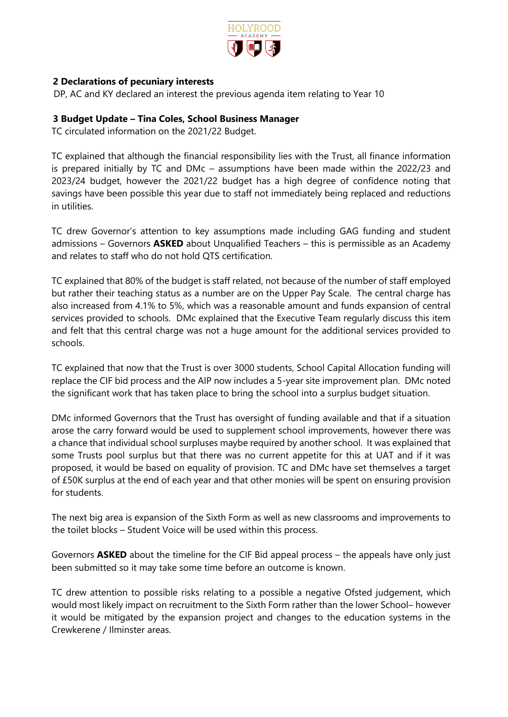

# **2 Declarations of pecuniary interests**

DP, AC and KY declared an interest the previous agenda item relating to Year 10

## **3 Budget Update – Tina Coles, School Business Manager**

TC circulated information on the 2021/22 Budget.

TC explained that although the financial responsibility lies with the Trust, all finance information is prepared initially by TC and DMc – assumptions have been made within the 2022/23 and 2023/24 budget, however the 2021/22 budget has a high degree of confidence noting that savings have been possible this year due to staff not immediately being replaced and reductions in utilities.

TC drew Governor's attention to key assumptions made including GAG funding and student admissions – Governors **ASKED** about Unqualified Teachers – this is permissible as an Academy and relates to staff who do not hold QTS certification.

TC explained that 80% of the budget is staff related, not because of the number of staff employed but rather their teaching status as a number are on the Upper Pay Scale. The central charge has also increased from 4.1% to 5%, which was a reasonable amount and funds expansion of central services provided to schools. DMc explained that the Executive Team regularly discuss this item and felt that this central charge was not a huge amount for the additional services provided to schools.

TC explained that now that the Trust is over 3000 students, School Capital Allocation funding will replace the CIF bid process and the AIP now includes a 5-year site improvement plan. DMc noted the significant work that has taken place to bring the school into a surplus budget situation.

DMc informed Governors that the Trust has oversight of funding available and that if a situation arose the carry forward would be used to supplement school improvements, however there was a chance that individual school surpluses maybe required by another school. It was explained that some Trusts pool surplus but that there was no current appetite for this at UAT and if it was proposed, it would be based on equality of provision. TC and DMc have set themselves a target of £50K surplus at the end of each year and that other monies will be spent on ensuring provision for students.

The next big area is expansion of the Sixth Form as well as new classrooms and improvements to the toilet blocks – Student Voice will be used within this process.

Governors **ASKED** about the timeline for the CIF Bid appeal process – the appeals have only just been submitted so it may take some time before an outcome is known.

TC drew attention to possible risks relating to a possible a negative Ofsted judgement, which would most likely impact on recruitment to the Sixth Form rather than the lower School– however it would be mitigated by the expansion project and changes to the education systems in the Crewkerene / Ilminster areas.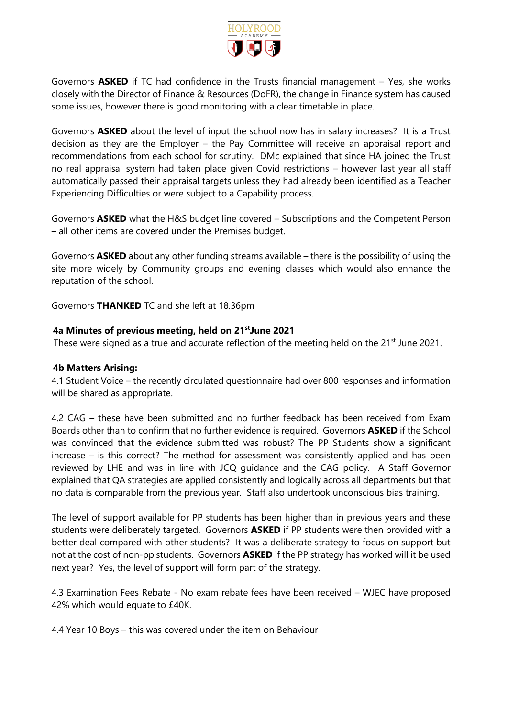

Governors **ASKED** if TC had confidence in the Trusts financial management – Yes, she works closely with the Director of Finance & Resources (DoFR), the change in Finance system has caused some issues, however there is good monitoring with a clear timetable in place.

Governors **ASKED** about the level of input the school now has in salary increases? It is a Trust decision as they are the Employer – the Pay Committee will receive an appraisal report and recommendations from each school for scrutiny. DMc explained that since HA joined the Trust no real appraisal system had taken place given Covid restrictions – however last year all staff automatically passed their appraisal targets unless they had already been identified as a Teacher Experiencing Difficulties or were subject to a Capability process.

Governors **ASKED** what the H&S budget line covered – Subscriptions and the Competent Person – all other items are covered under the Premises budget.

Governors **ASKED** about any other funding streams available – there is the possibility of using the site more widely by Community groups and evening classes which would also enhance the reputation of the school.

Governors **THANKED** TC and she left at 18.36pm

## **4a Minutes of previous meeting, held on 21stJune 2021**

These were signed as a true and accurate reflection of the meeting held on the 21<sup>st</sup> June 2021.

### **4b Matters Arising:**

4.1 Student Voice – the recently circulated questionnaire had over 800 responses and information will be shared as appropriate.

4.2 CAG – these have been submitted and no further feedback has been received from Exam Boards other than to confirm that no further evidence is required. Governors **ASKED** if the School was convinced that the evidence submitted was robust? The PP Students show a significant increase – is this correct? The method for assessment was consistently applied and has been reviewed by LHE and was in line with JCQ guidance and the CAG policy. A Staff Governor explained that QA strategies are applied consistently and logically across all departments but that no data is comparable from the previous year. Staff also undertook unconscious bias training.

The level of support available for PP students has been higher than in previous years and these students were deliberately targeted. Governors **ASKED** if PP students were then provided with a better deal compared with other students? It was a deliberate strategy to focus on support but not at the cost of non-pp students. Governors **ASKED** if the PP strategy has worked will it be used next year? Yes, the level of support will form part of the strategy.

4.3 Examination Fees Rebate - No exam rebate fees have been received – WJEC have proposed 42% which would equate to £40K.

4.4 Year 10 Boys – this was covered under the item on Behaviour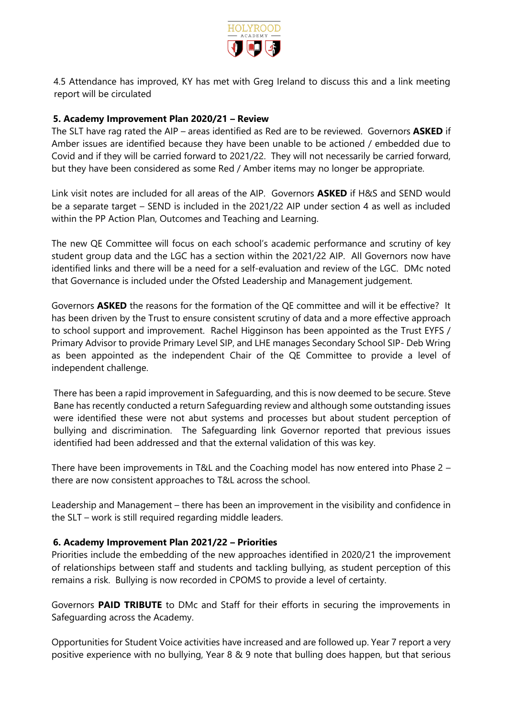

4.5 Attendance has improved, KY has met with Greg Ireland to discuss this and a link meeting report will be circulated

## **5. Academy Improvement Plan 2020/21 – Review**

The SLT have rag rated the AIP – areas identified as Red are to be reviewed. Governors **ASKED** if Amber issues are identified because they have been unable to be actioned / embedded due to Covid and if they will be carried forward to 2021/22. They will not necessarily be carried forward, but they have been considered as some Red / Amber items may no longer be appropriate.

Link visit notes are included for all areas of the AIP. Governors **ASKED** if H&S and SEND would be a separate target – SEND is included in the 2021/22 AIP under section 4 as well as included within the PP Action Plan, Outcomes and Teaching and Learning.

The new QE Committee will focus on each school's academic performance and scrutiny of key student group data and the LGC has a section within the 2021/22 AIP. All Governors now have identified links and there will be a need for a self-evaluation and review of the LGC. DMc noted that Governance is included under the Ofsted Leadership and Management judgement.

Governors **ASKED** the reasons for the formation of the QE committee and will it be effective? It has been driven by the Trust to ensure consistent scrutiny of data and a more effective approach to school support and improvement. Rachel Higginson has been appointed as the Trust EYFS / Primary Advisor to provide Primary Level SIP, and LHE manages Secondary School SIP- Deb Wring as been appointed as the independent Chair of the QE Committee to provide a level of independent challenge.

There has been a rapid improvement in Safeguarding, and this is now deemed to be secure. Steve Bane has recently conducted a return Safeguarding review and although some outstanding issues were identified these were not abut systems and processes but about student perception of bullying and discrimination. The Safeguarding link Governor reported that previous issues identified had been addressed and that the external validation of this was key.

There have been improvements in T&L and the Coaching model has now entered into Phase 2 – there are now consistent approaches to T&L across the school.

Leadership and Management – there has been an improvement in the visibility and confidence in the SLT – work is still required regarding middle leaders.

### **6. Academy Improvement Plan 2021/22 – Priorities**

Priorities include the embedding of the new approaches identified in 2020/21 the improvement of relationships between staff and students and tackling bullying, as student perception of this remains a risk. Bullying is now recorded in CPOMS to provide a level of certainty.

Governors **PAID TRIBUTE** to DMc and Staff for their efforts in securing the improvements in Safeguarding across the Academy.

Opportunities for Student Voice activities have increased and are followed up. Year 7 report a very positive experience with no bullying, Year 8 & 9 note that bulling does happen, but that serious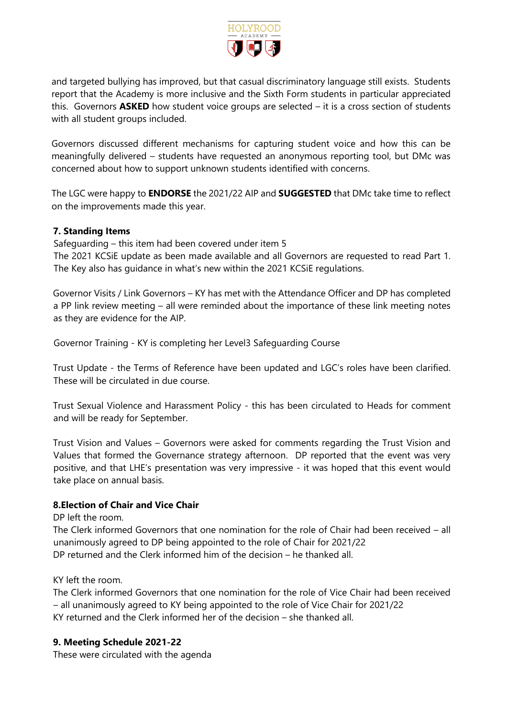

and targeted bullying has improved, but that casual discriminatory language still exists. Students report that the Academy is more inclusive and the Sixth Form students in particular appreciated this. Governors **ASKED** how student voice groups are selected – it is a cross section of students with all student groups included.

Governors discussed different mechanisms for capturing student voice and how this can be meaningfully delivered – students have requested an anonymous reporting tool, but DMc was concerned about how to support unknown students identified with concerns.

The LGC were happy to **ENDORSE** the 2021/22 AIP and **SUGGESTED** that DMc take time to reflect on the improvements made this year.

## **7. Standing Items**

Safeguarding – this item had been covered under item 5 The 2021 KCSiE update as been made available and all Governors are requested to read Part 1. The Key also has guidance in what's new within the 2021 KCSiE regulations.

Governor Visits / Link Governors – KY has met with the Attendance Officer and DP has completed a PP link review meeting – all were reminded about the importance of these link meeting notes as they are evidence for the AIP.

Governor Training - KY is completing her Level3 Safeguarding Course

Trust Update - the Terms of Reference have been updated and LGC's roles have been clarified. These will be circulated in due course.

Trust Sexual Violence and Harassment Policy - this has been circulated to Heads for comment and will be ready for September.

Trust Vision and Values – Governors were asked for comments regarding the Trust Vision and Values that formed the Governance strategy afternoon. DP reported that the event was very positive, and that LHE's presentation was very impressive - it was hoped that this event would take place on annual basis.

### **8.Election of Chair and Vice Chair**

DP left the room.

The Clerk informed Governors that one nomination for the role of Chair had been received – all unanimously agreed to DP being appointed to the role of Chair for 2021/22 DP returned and the Clerk informed him of the decision – he thanked all.

KY left the room.

The Clerk informed Governors that one nomination for the role of Vice Chair had been received – all unanimously agreed to KY being appointed to the role of Vice Chair for 2021/22 KY returned and the Clerk informed her of the decision – she thanked all.

### **9. Meeting Schedule 2021-22**

These were circulated with the agenda